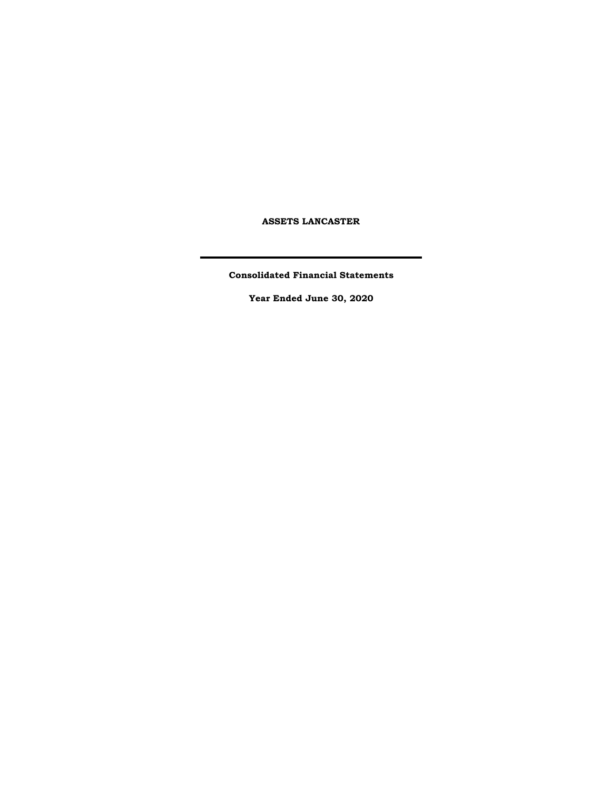**ASSETS LANCASTER**

**Consolidated Financial Statements**

**Year Ended June 30, 2020**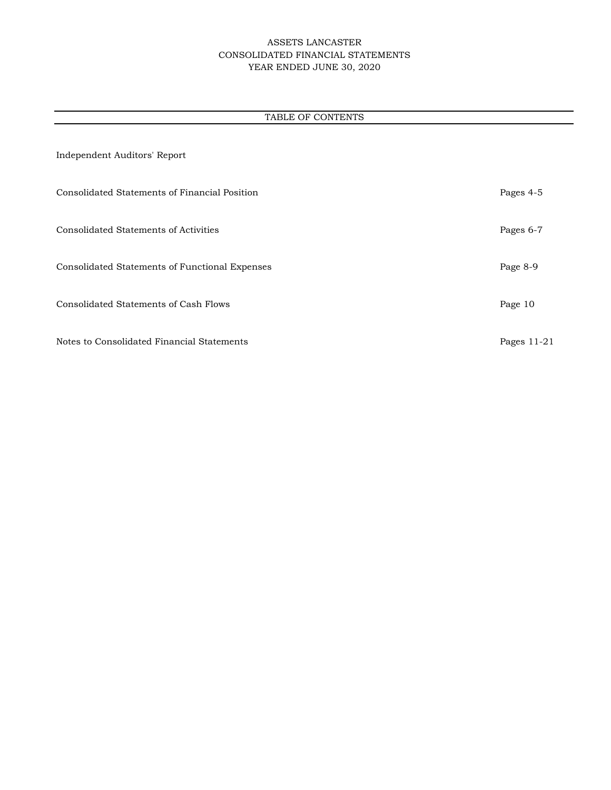# ASSETS LANCASTER CONSOLIDATED FINANCIAL STATEMENTS YEAR ENDED JUNE 30, 2020

# TABLE OF CONTENTS

| Independent Auditors' Report                   |               |
|------------------------------------------------|---------------|
| Consolidated Statements of Financial Position  | Pages 4-5     |
| Consolidated Statements of Activities          | Pages 6-7     |
| Consolidated Statements of Functional Expenses | Page 8-9      |
| Consolidated Statements of Cash Flows          | Page 10       |
| Notes to Consolidated Financial Statements     | Pages $11-21$ |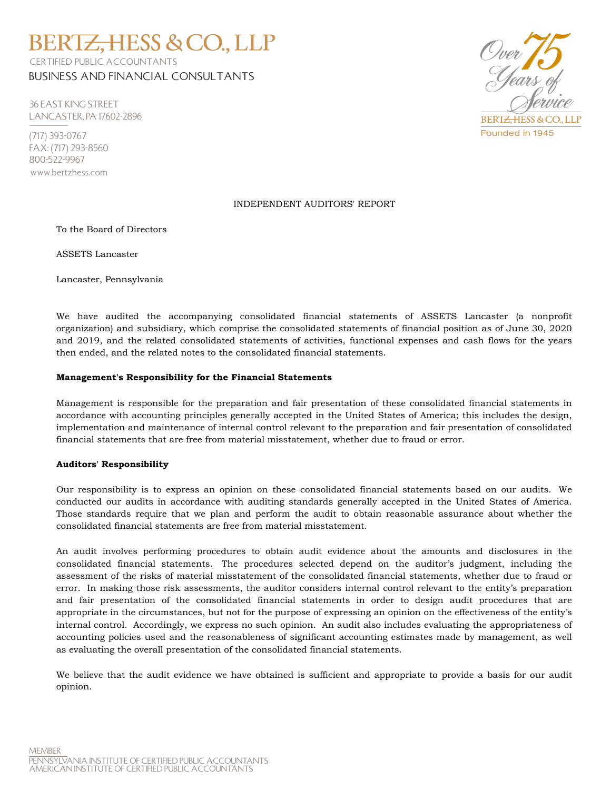**BERTZ, HESS & CO., LLP** CERTIFIED PUBLIC ACCOUNTANTS BUSINESS AND FINANCIAL CONSULTANTS

36 EAST KING STREET LANCASTER, PA 17602-2896

(717) 393-0767 FAX: (717) 293-8560 800-522-9967 www.bertzhess.com



# INDEPENDENT AUDITORS' REPORT

To the Board of Directors

ASSETS Lancaster

Lancaster, Pennsylvania

We have audited the accompanying consolidated financial statements of ASSETS Lancaster (a nonprofit organization) and subsidiary, which comprise the consolidated statements of financial position as of June 30, 2020 and 2019, and the related consolidated statements of activities, functional expenses and cash flows for the years then ended, and the related notes to the consolidated financial statements.

## **Management's Responsibility for the Financial Statements**

Management is responsible for the preparation and fair presentation of these consolidated financial statements in accordance with accounting principles generally accepted in the United States of America; this includes the design, implementation and maintenance of internal control relevant to the preparation and fair presentation of consolidated financial statements that are free from material misstatement, whether due to fraud or error.

## **Auditors' Responsibility**

Our responsibility is to express an opinion on these consolidated financial statements based on our audits. We conducted our audits in accordance with auditing standards generally accepted in the United States of America. Those standards require that we plan and perform the audit to obtain reasonable assurance about whether the consolidated financial statements are free from material misstatement.

An audit involves performing procedures to obtain audit evidence about the amounts and disclosures in the consolidated financial statements. The procedures selected depend on the auditor's judgment, including the assessment of the risks of material misstatement of the consolidated financial statements, whether due to fraud or error. In making those risk assessments, the auditor considers internal control relevant to the entity's preparation and fair presentation of the consolidated financial statements in order to design audit procedures that are appropriate in the circumstances, but not for the purpose of expressing an opinion on the effectiveness of the entity's internal control. Accordingly, we express no such opinion. An audit also includes evaluating the appropriateness of accounting policies used and the reasonableness of significant accounting estimates made by management, as well as evaluating the overall presentation of the consolidated financial statements.

We believe that the audit evidence we have obtained is sufficient and appropriate to provide a basis for our audit opinion.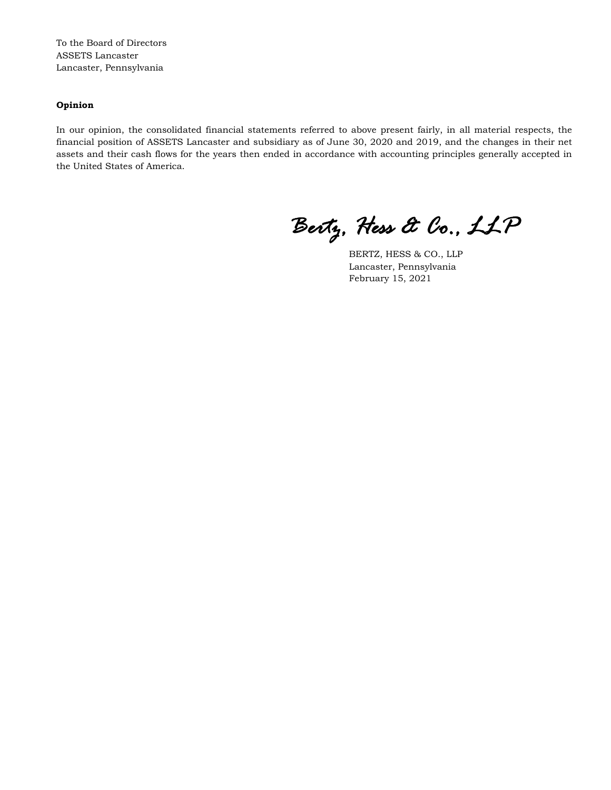To the Board of Directors ASSETS Lancaster Lancaster, Pennsylvania

## **Opinion**

In our opinion, the consolidated financial statements referred to above present fairly, in all material respects, the financial position of ASSETS Lancaster and subsidiary as of June 30, 2020 and 2019, and the changes in their net assets and their cash flows for the years then ended in accordance with accounting principles generally accepted in the United States of America.

*Bertz, Hess & Co., LLP*

BERTZ, HESS & CO., LLP Lancaster, Pennsylvania February 15, 2021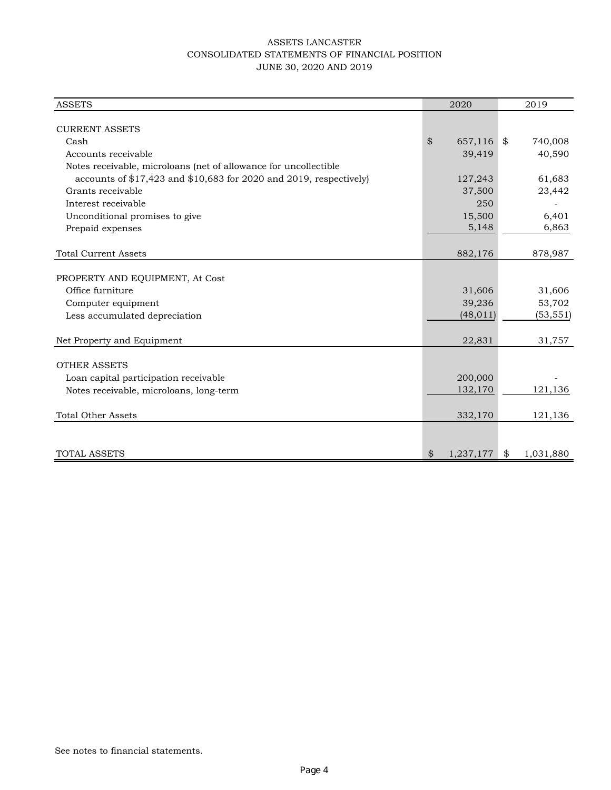# ASSETS LANCASTER CONSOLIDATED STATEMENTS OF FINANCIAL POSITION JUNE 30, 2020 AND 2019

| <b>ASSETS</b>                                                      | 2020            | 2019            |
|--------------------------------------------------------------------|-----------------|-----------------|
|                                                                    |                 |                 |
| <b>CURRENT ASSETS</b>                                              |                 |                 |
| Cash                                                               | \$<br>657,116   | 740,008<br>\$   |
| Accounts receivable                                                | 39,419          | 40,590          |
| Notes receivable, microloans (net of allowance for uncollectible   |                 |                 |
| accounts of \$17,423 and \$10,683 for 2020 and 2019, respectively) | 127,243         | 61,683          |
| Grants receivable                                                  | 37,500          | 23,442          |
| Interest receivable                                                | 250             |                 |
| Unconditional promises to give                                     | 15,500          | 6,401           |
| Prepaid expenses                                                   | 5,148           | 6,863           |
|                                                                    |                 |                 |
| <b>Total Current Assets</b>                                        | 882,176         | 878,987         |
|                                                                    |                 |                 |
| PROPERTY AND EQUIPMENT, At Cost                                    |                 |                 |
| Office furniture                                                   | 31,606          | 31,606          |
| Computer equipment                                                 | 39,236          | 53,702          |
| Less accumulated depreciation                                      | (48, 011)       | (53, 551)       |
|                                                                    |                 |                 |
| Net Property and Equipment                                         | 22,831          | 31,757          |
|                                                                    |                 |                 |
| <b>OTHER ASSETS</b>                                                |                 |                 |
| Loan capital participation receivable                              | 200,000         |                 |
| Notes receivable, microloans, long-term                            | 132,170         | 121,136         |
|                                                                    |                 |                 |
| <b>Total Other Assets</b>                                          | 332,170         | 121,136         |
|                                                                    |                 |                 |
| <b>TOTAL ASSETS</b>                                                | \$<br>1,237,177 | \$<br>1,031,880 |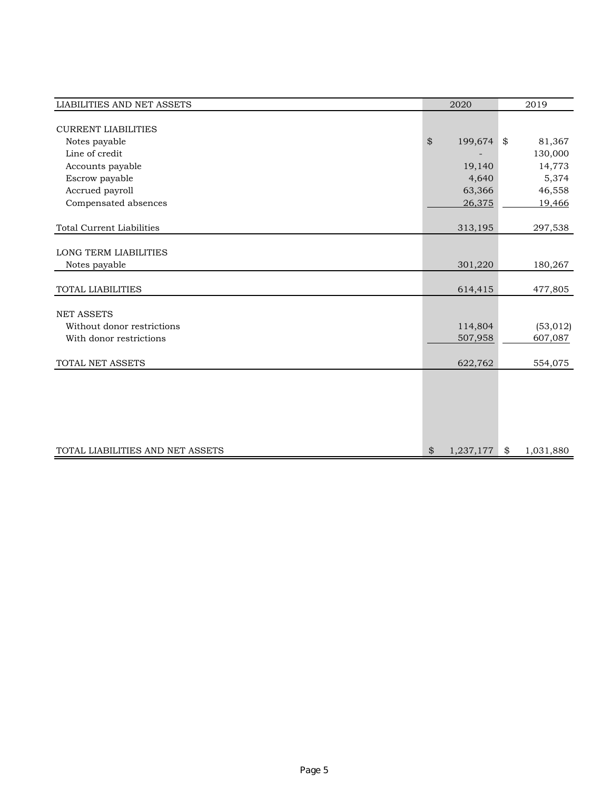| LIABILITIES AND NET ASSETS       | 2020            | 2019            |
|----------------------------------|-----------------|-----------------|
|                                  |                 |                 |
| <b>CURRENT LIABILITIES</b>       |                 |                 |
| Notes payable                    | \$<br>199,674   | 81,367<br>\$    |
| Line of credit                   |                 | 130,000         |
| Accounts payable                 | 19,140          | 14,773          |
| Escrow payable                   | 4,640           | 5,374           |
| Accrued payroll                  | 63,366          | 46,558          |
| Compensated absences             | 26,375          | 19,466          |
|                                  |                 |                 |
| <b>Total Current Liabilities</b> | 313,195         | 297,538         |
|                                  |                 |                 |
| LONG TERM LIABILITIES            |                 |                 |
| Notes payable                    | 301,220         | 180,267         |
| TOTAL LIABILITIES                | 614,415         | 477,805         |
|                                  |                 |                 |
| <b>NET ASSETS</b>                |                 |                 |
| Without donor restrictions       | 114,804         | (53, 012)       |
| With donor restrictions          | 507,958         | 607,087         |
|                                  |                 |                 |
| TOTAL NET ASSETS                 | 622,762         | 554,075         |
|                                  |                 |                 |
|                                  |                 |                 |
|                                  |                 |                 |
|                                  |                 |                 |
|                                  |                 |                 |
|                                  |                 |                 |
| TOTAL LIABILITIES AND NET ASSETS | \$<br>1,237,177 | \$<br>1,031,880 |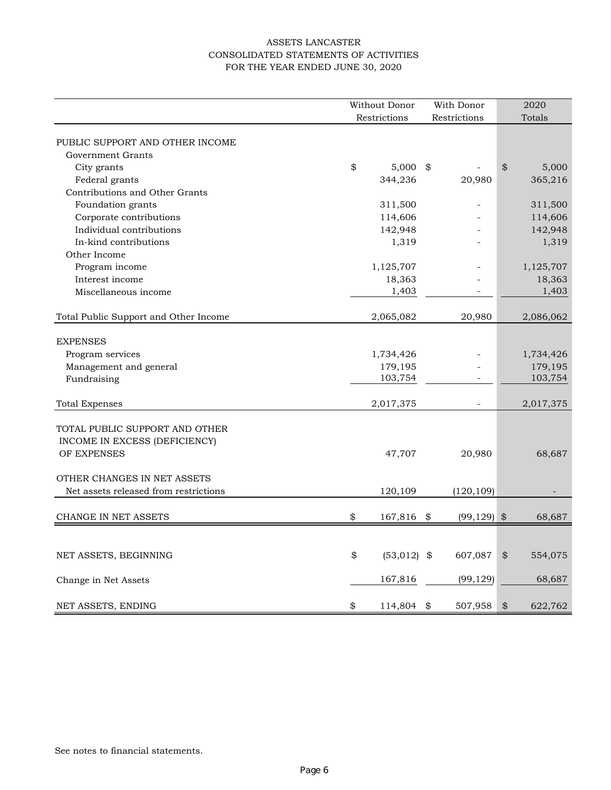# ASSETS LANCASTER CONSOLIDATED STATEMENTS OF ACTIVITIES FOR THE YEAR ENDED JUNE 30, 2020

|                                       | Without Donor       | With Donor             | 2020                                  |  |
|---------------------------------------|---------------------|------------------------|---------------------------------------|--|
|                                       | Restrictions        | Restrictions           | Totals                                |  |
|                                       |                     |                        |                                       |  |
| PUBLIC SUPPORT AND OTHER INCOME       |                     |                        |                                       |  |
| Government Grants                     |                     |                        |                                       |  |
| City grants                           | \$<br>$5,000$ \$    |                        | \$<br>5,000                           |  |
| Federal grants                        | 344,236             | 20,980                 | 365,216                               |  |
| Contributions and Other Grants        |                     |                        |                                       |  |
| Foundation grants                     | 311,500             |                        | 311,500                               |  |
| Corporate contributions               | 114,606             |                        | 114,606                               |  |
| Individual contributions              | 142,948             |                        | 142,948                               |  |
| In-kind contributions                 | 1,319               |                        | 1,319                                 |  |
| Other Income                          |                     |                        |                                       |  |
| Program income                        | 1,125,707           |                        | 1,125,707                             |  |
| Interest income                       | 18,363              |                        | 18,363                                |  |
| Miscellaneous income                  | 1,403               | L,                     | 1,403                                 |  |
|                                       |                     |                        |                                       |  |
| Total Public Support and Other Income | 2,065,082           | 20,980                 | 2,086,062                             |  |
| <b>EXPENSES</b>                       |                     |                        |                                       |  |
| Program services                      | 1,734,426           |                        | 1,734,426                             |  |
| Management and general                | 179,195             |                        | 179,195                               |  |
| Fundraising                           | 103,754             |                        | 103,754                               |  |
|                                       |                     |                        |                                       |  |
| <b>Total Expenses</b>                 | 2,017,375           |                        | 2,017,375                             |  |
| TOTAL PUBLIC SUPPORT AND OTHER        |                     |                        |                                       |  |
| INCOME IN EXCESS (DEFICIENCY)         |                     |                        |                                       |  |
| OF EXPENSES                           | 47,707              | 20,980                 | 68,687                                |  |
|                                       |                     |                        |                                       |  |
| OTHER CHANGES IN NET ASSETS           |                     |                        |                                       |  |
| Net assets released from restrictions | 120,109             | (120,109)              |                                       |  |
|                                       |                     |                        |                                       |  |
| CHANGE IN NET ASSETS                  | \$<br>167,816       | $(99, 129)$ \$<br>- \$ | 68,687                                |  |
|                                       |                     |                        |                                       |  |
| NET ASSETS, BEGINNING                 | \$<br>$(53,012)$ \$ | 607,087                | \$<br>554,075                         |  |
|                                       |                     |                        |                                       |  |
| Change in Net Assets                  | 167,816             | (99, 129)              | 68,687                                |  |
| NET ASSETS, ENDING                    | \$<br>114,804 \$    | 507,958                | $\boldsymbol{\mathcal{L}}$<br>622,762 |  |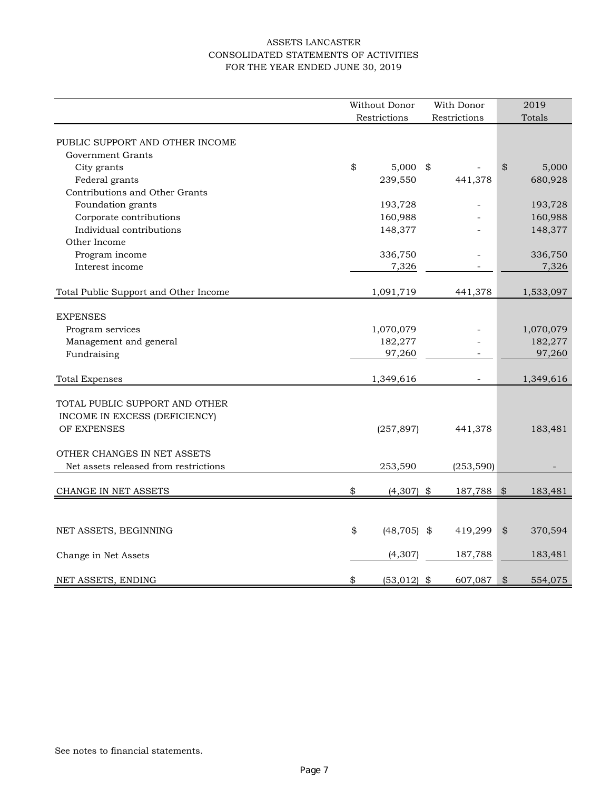# ASSETS LANCASTER CONSOLIDATED STATEMENTS OF ACTIVITIES FOR THE YEAR ENDED JUNE 30, 2019

|                                                      | Without Donor |                |              | With Donor |               | 2019      |
|------------------------------------------------------|---------------|----------------|--------------|------------|---------------|-----------|
|                                                      | Restrictions  |                | Restrictions |            |               | Totals    |
|                                                      |               |                |              |            |               |           |
| PUBLIC SUPPORT AND OTHER INCOME<br>Government Grants |               |                |              |            |               |           |
| City grants                                          | \$            | $5,000$ \$     |              |            | \$            | 5,000     |
| Federal grants                                       |               | 239,550        |              | 441,378    |               | 680,928   |
| Contributions and Other Grants                       |               |                |              |            |               |           |
| Foundation grants                                    |               | 193,728        |              |            |               | 193,728   |
| Corporate contributions                              |               | 160,988        |              |            |               | 160,988   |
| Individual contributions                             |               | 148,377        |              |            |               | 148,377   |
| Other Income                                         |               |                |              |            |               |           |
| Program income                                       |               | 336,750        |              |            |               | 336,750   |
| Interest income                                      |               | 7,326          |              |            |               | 7,326     |
|                                                      |               |                |              |            |               |           |
| Total Public Support and Other Income                |               | 1,091,719      |              | 441,378    |               | 1,533,097 |
|                                                      |               |                |              |            |               |           |
| <b>EXPENSES</b>                                      |               |                |              |            |               |           |
| Program services                                     |               | 1,070,079      |              |            |               | 1,070,079 |
| Management and general                               |               | 182,277        |              |            |               | 182,277   |
| Fundraising                                          |               | 97,260         |              |            |               | 97,260    |
| <b>Total Expenses</b>                                |               | 1,349,616      |              |            |               | 1,349,616 |
|                                                      |               |                |              |            |               |           |
| TOTAL PUBLIC SUPPORT AND OTHER                       |               |                |              |            |               |           |
| INCOME IN EXCESS (DEFICIENCY)                        |               |                |              |            |               |           |
| OF EXPENSES                                          |               | (257, 897)     |              | 441,378    |               | 183,481   |
| OTHER CHANGES IN NET ASSETS                          |               |                |              |            |               |           |
| Net assets released from restrictions                |               | 253,590        |              | (253, 590) |               |           |
|                                                      |               |                |              |            |               |           |
| CHANGE IN NET ASSETS                                 | \$            | $(4,307)$ \$   |              | 187,788    | $\frac{1}{2}$ | 183,481   |
|                                                      |               |                |              |            |               |           |
| NET ASSETS, BEGINNING                                | \$            | $(48, 705)$ \$ |              | 419,299    | \$            | 370,594   |
|                                                      |               |                |              |            |               |           |
| Change in Net Assets                                 |               | (4, 307)       |              | 187,788    |               | 183,481   |
| NET ASSETS, ENDING                                   | \$            | $(53,012)$ \$  |              | 607,087    | $\frac{1}{2}$ | 554,075   |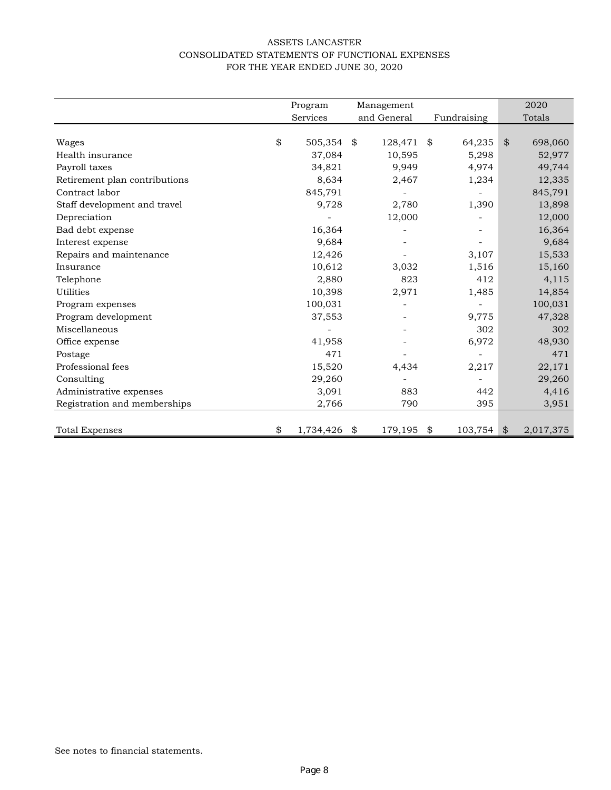# ASSETS LANCASTER CONSOLIDATED STATEMENTS OF FUNCTIONAL EXPENSES FOR THE YEAR ENDED JUNE 30, 2020

|                               | Program         | Management    | 2020          |                 |
|-------------------------------|-----------------|---------------|---------------|-----------------|
|                               | Services        | and General   | Fundraising   | Totals          |
|                               |                 |               |               |                 |
| Wages                         | \$<br>505,354   | \$<br>128,471 | \$<br>64,235  | \$<br>698,060   |
| Health insurance              | 37,084          | 10,595        | 5,298         | 52,977          |
| Payroll taxes                 | 34,821          | 9,949         | 4,974         | 49,744          |
| Retirement plan contributions | 8,634           | 2,467         | 1,234         | 12,335          |
| Contract labor                | 845,791         |               |               | 845,791         |
| Staff development and travel  | 9,728           | 2,780         | 1,390         | 13,898          |
| Depreciation                  |                 | 12,000        |               | 12,000          |
| Bad debt expense              | 16,364          |               |               | 16,364          |
| Interest expense              | 9,684           |               |               | 9,684           |
| Repairs and maintenance       | 12,426          |               | 3,107         | 15,533          |
| Insurance                     | 10,612          | 3,032         | 1,516         | 15,160          |
| Telephone                     | 2,880           | 823           | 412           | 4,115           |
| Utilities                     | 10,398          | 2,971         | 1,485         | 14,854          |
| Program expenses              | 100,031         |               |               | 100,031         |
| Program development           | 37,553          |               | 9,775         | 47,328          |
| Miscellaneous                 |                 |               | 302           | 302             |
| Office expense                | 41,958          |               | 6,972         | 48,930          |
| Postage                       | 471             |               |               | 471             |
| Professional fees             | 15,520          | 4,434         | 2,217         | 22,171          |
| Consulting                    | 29,260          |               |               | 29,260          |
| Administrative expenses       | 3,091           | 883           | 442           | 4,416           |
| Registration and memberships  | 2,766           | 790           | 395           | 3,951           |
|                               |                 |               |               |                 |
| <b>Total Expenses</b>         | \$<br>1,734,426 | \$<br>179,195 | \$<br>103,754 | 2,017,375<br>\$ |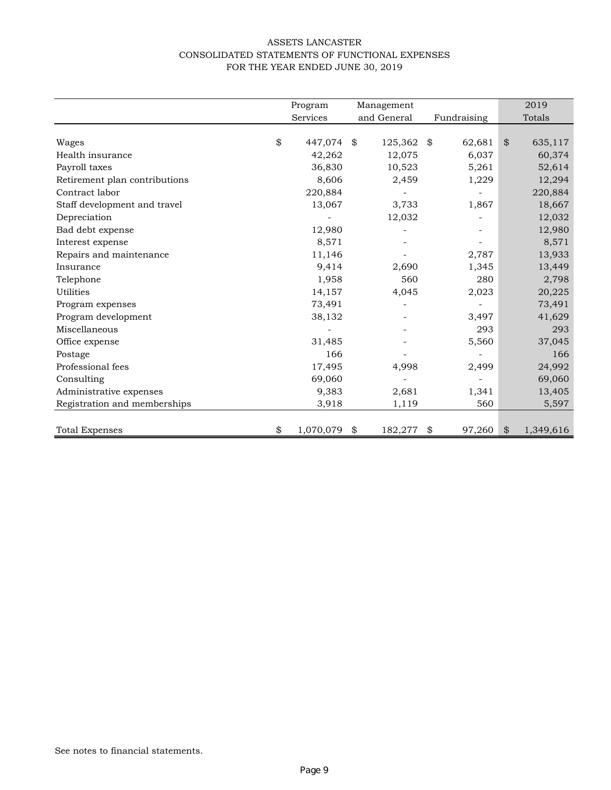# ASSETS LANCASTER CONSOLIDATED STATEMENTS OF FUNCTIONAL EXPENSES FOR THE YEAR ENDED JUNE 30, 2019

|                               | Program<br>Management |           |             |         | 2019 |             |                 |
|-------------------------------|-----------------------|-----------|-------------|---------|------|-------------|-----------------|
|                               |                       | Services  | and General |         |      | Fundraising | Totals          |
|                               |                       |           |             |         |      |             |                 |
| Wages                         | \$                    | 447,074   | \$          | 125,362 | \$   | 62,681      | \$<br>635,117   |
| Health insurance              |                       | 42,262    |             | 12,075  |      | 6,037       | 60,374          |
| Payroll taxes                 |                       | 36,830    |             | 10,523  |      | 5,261       | 52,614          |
| Retirement plan contributions |                       | 8,606     |             | 2,459   |      | 1,229       | 12,294          |
| Contract labor                |                       | 220,884   |             |         |      |             | 220,884         |
| Staff development and travel  |                       | 13,067    |             | 3,733   |      | 1,867       | 18,667          |
| Depreciation                  |                       |           |             | 12,032  |      |             | 12,032          |
| Bad debt expense              |                       | 12,980    |             |         |      |             | 12,980          |
| Interest expense              |                       | 8,571     |             |         |      |             | 8,571           |
| Repairs and maintenance       |                       | 11,146    |             |         |      | 2,787       | 13,933          |
| Insurance                     |                       | 9,414     |             | 2,690   |      | 1,345       | 13,449          |
| Telephone                     |                       | 1,958     |             | 560     |      | 280         | 2,798           |
| Utilities                     |                       | 14,157    |             | 4,045   |      | 2,023       | 20,225          |
| Program expenses              |                       | 73,491    |             |         |      |             | 73,491          |
| Program development           | 38,132                |           |             |         |      | 3,497       | 41,629          |
| Miscellaneous                 |                       |           |             |         | 293  | 293         |                 |
| Office expense                |                       | 31,485    |             |         |      | 5,560       | 37,045          |
| Postage                       |                       | 166       |             |         |      |             | 166             |
| Professional fees             |                       | 17,495    |             | 4,998   |      | 2,499       | 24,992          |
| Consulting                    |                       | 69,060    |             |         |      |             | 69,060          |
| Administrative expenses       |                       | 9,383     |             | 2,681   |      | 1,341       | 13,405          |
| Registration and memberships  |                       | 3,918     |             | 1,119   |      | 560         | 5,597           |
|                               |                       |           |             |         |      |             |                 |
| <b>Total Expenses</b>         | \$                    | 1,070,079 | \$          | 182,277 | \$   | 97,260      | \$<br>1,349,616 |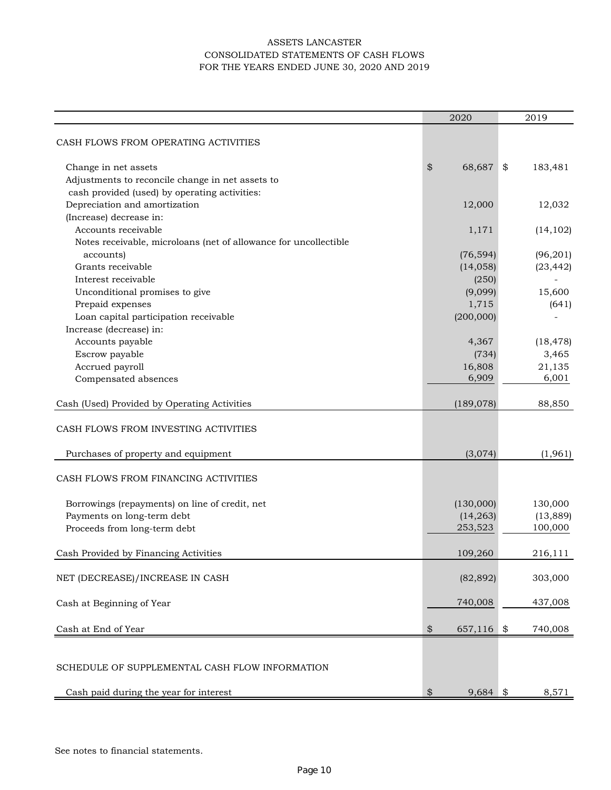# ASSETS LANCASTER CONSOLIDATED STATEMENTS OF CASH FLOWS FOR THE YEARS ENDED JUNE 30, 2020 AND 2019

|                                                                               | 2020           | 2019          |
|-------------------------------------------------------------------------------|----------------|---------------|
| CASH FLOWS FROM OPERATING ACTIVITIES                                          |                |               |
| Change in net assets                                                          | \$<br>68,687   | \$<br>183,481 |
| Adjustments to reconcile change in net assets to                              |                |               |
| cash provided (used) by operating activities:                                 |                |               |
| Depreciation and amortization                                                 | 12,000         | 12,032        |
| (Increase) decrease in:                                                       |                |               |
| Accounts receivable                                                           | 1,171          | (14, 102)     |
| Notes receivable, microloans (net of allowance for uncollectible<br>accounts) | (76, 594)      | (96, 201)     |
| Grants receivable                                                             | (14, 058)      | (23, 442)     |
| Interest receivable                                                           | (250)          |               |
| Unconditional promises to give                                                | (9,099)        | 15,600        |
| Prepaid expenses                                                              | 1,715          | (641)         |
| Loan capital participation receivable                                         | (200,000)      |               |
| Increase (decrease) in:                                                       |                |               |
| Accounts payable                                                              | 4,367          | (18, 478)     |
| Escrow payable                                                                | (734)          | 3,465         |
| Accrued payroll                                                               | 16,808         | 21,135        |
| Compensated absences                                                          | 6,909          | 6,001         |
|                                                                               |                |               |
| Cash (Used) Provided by Operating Activities                                  | (189, 078)     | 88,850        |
| CASH FLOWS FROM INVESTING ACTIVITIES                                          |                |               |
| Purchases of property and equipment                                           | (3,074)        | (1, 961)      |
| CASH FLOWS FROM FINANCING ACTIVITIES                                          |                |               |
| Borrowings (repayments) on line of credit, net                                | (130,000)      | 130,000       |
| Payments on long-term debt                                                    | (14, 263)      | (13, 889)     |
| Proceeds from long-term debt                                                  | 253,523        | 100,000       |
|                                                                               |                |               |
| Cash Provided by Financing Activities                                         | 109,260        | 216,111       |
| NET (DECREASE)/INCREASE IN CASH                                               | (82, 892)      | 303,000       |
| Cash at Beginning of Year                                                     | 740,008        | 437,008       |
| Cash at End of Year                                                           | 657,116<br>\$  | \$<br>740,008 |
|                                                                               |                |               |
| SCHEDULE OF SUPPLEMENTAL CASH FLOW INFORMATION                                |                |               |
| Cash paid during the year for interest                                        | \$<br>9,684 \$ | 8,571         |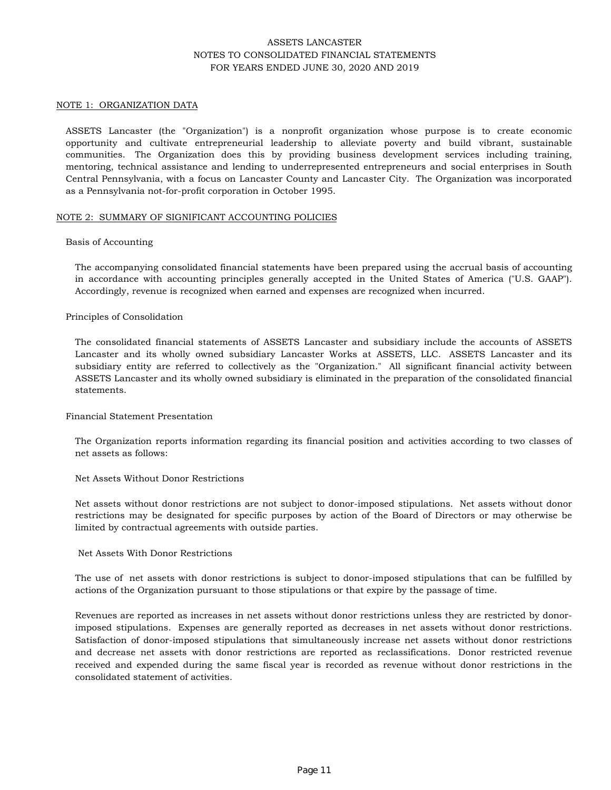### NOTE 1: ORGANIZATION DATA

ASSETS Lancaster (the "Organization") is a nonprofit organization whose purpose is to create economic opportunity and cultivate entrepreneurial leadership to alleviate poverty and build vibrant, sustainable communities. The Organization does this by providing business development services including training, mentoring, technical assistance and lending to underrepresented entrepreneurs and social enterprises in South Central Pennsylvania, with a focus on Lancaster County and Lancaster City. The Organization was incorporated as a Pennsylvania not-for-profit corporation in October 1995.

### NOTE 2: SUMMARY OF SIGNIFICANT ACCOUNTING POLICIES

## Basis of Accounting

The accompanying consolidated financial statements have been prepared using the accrual basis of accounting in accordance with accounting principles generally accepted in the United States of America ("U.S. GAAP"). Accordingly, revenue is recognized when earned and expenses are recognized when incurred.

## Principles of Consolidation

The consolidated financial statements of ASSETS Lancaster and subsidiary include the accounts of ASSETS Lancaster and its wholly owned subsidiary Lancaster Works at ASSETS, LLC. ASSETS Lancaster and its subsidiary entity are referred to collectively as the "Organization." All significant financial activity between ASSETS Lancaster and its wholly owned subsidiary is eliminated in the preparation of the consolidated financial statements.

## Financial Statement Presentation

The Organization reports information regarding its financial position and activities according to two classes of net assets as follows:

## Net Assets Without Donor Restrictions

Net assets without donor restrictions are not subject to donor-imposed stipulations. Net assets without donor restrictions may be designated for specific purposes by action of the Board of Directors or may otherwise be limited by contractual agreements with outside parties.

## Net Assets With Donor Restrictions

The use of net assets with donor restrictions is subject to donor-imposed stipulations that can be fulfilled by actions of the Organization pursuant to those stipulations or that expire by the passage of time.

Revenues are reported as increases in net assets without donor restrictions unless they are restricted by donorimposed stipulations. Expenses are generally reported as decreases in net assets without donor restrictions. Satisfaction of donor-imposed stipulations that simultaneously increase net assets without donor restrictions and decrease net assets with donor restrictions are reported as reclassifications. Donor restricted revenue received and expended during the same fiscal year is recorded as revenue without donor restrictions in the consolidated statement of activities.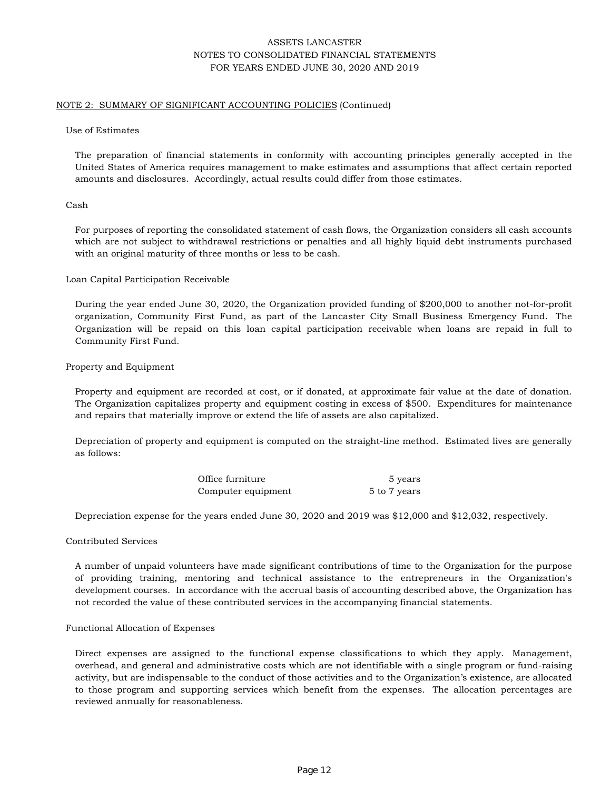### NOTE 2: SUMMARY OF SIGNIFICANT ACCOUNTING POLICIES (Continued)

### Use of Estimates

The preparation of financial statements in conformity with accounting principles generally accepted in the United States of America requires management to make estimates and assumptions that affect certain reported amounts and disclosures. Accordingly, actual results could differ from those estimates.

## Cash

For purposes of reporting the consolidated statement of cash flows, the Organization considers all cash accounts which are not subject to withdrawal restrictions or penalties and all highly liquid debt instruments purchased with an original maturity of three months or less to be cash.

Loan Capital Participation Receivable

During the year ended June 30, 2020, the Organization provided funding of \$200,000 to another not-for-profit organization, Community First Fund, as part of the Lancaster City Small Business Emergency Fund. The Organization will be repaid on this loan capital participation receivable when loans are repaid in full to Community First Fund.

### Property and Equipment

Property and equipment are recorded at cost, or if donated, at approximate fair value at the date of donation. The Organization capitalizes property and equipment costing in excess of \$500. Expenditures for maintenance and repairs that materially improve or extend the life of assets are also capitalized.

Depreciation of property and equipment is computed on the straight-line method. Estimated lives are generally as follows:

| Office furniture   | 5 years      |
|--------------------|--------------|
| Computer equipment | 5 to 7 years |

Depreciation expense for the years ended June 30, 2020 and 2019 was \$12,000 and \$12,032, respectively.

## Contributed Services

A number of unpaid volunteers have made significant contributions of time to the Organization for the purpose of providing training, mentoring and technical assistance to the entrepreneurs in the Organization's development courses. In accordance with the accrual basis of accounting described above, the Organization has not recorded the value of these contributed services in the accompanying financial statements.

## Functional Allocation of Expenses

Direct expenses are assigned to the functional expense classifications to which they apply. Management, overhead, and general and administrative costs which are not identifiable with a single program or fund-raising activity, but are indispensable to the conduct of those activities and to the Organization's existence, are allocated to those program and supporting services which benefit from the expenses. The allocation percentages are reviewed annually for reasonableness.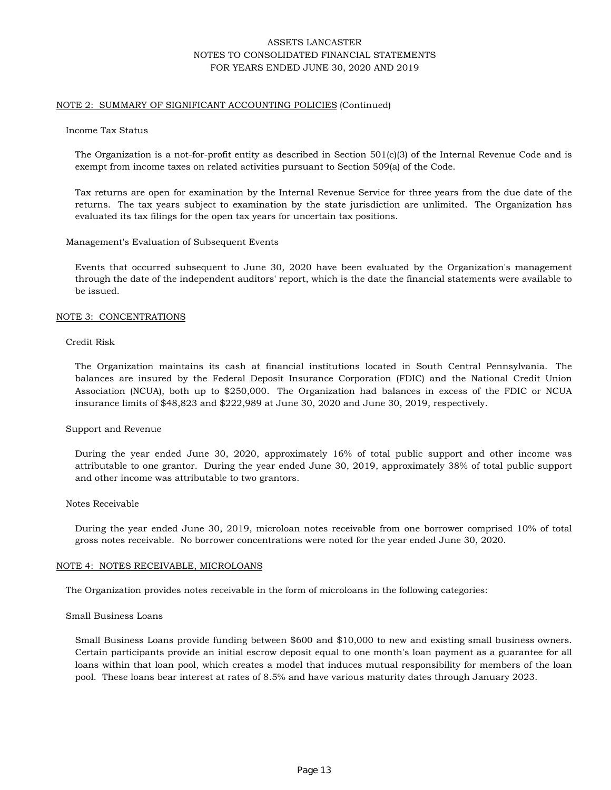### NOTE 2: SUMMARY OF SIGNIFICANT ACCOUNTING POLICIES (Continued)

#### Income Tax Status

The Organization is a not-for-profit entity as described in Section 501(c)(3) of the Internal Revenue Code and is exempt from income taxes on related activities pursuant to Section 509(a) of the Code.

Tax returns are open for examination by the Internal Revenue Service for three years from the due date of the returns. The tax years subject to examination by the state jurisdiction are unlimited. The Organization has evaluated its tax filings for the open tax years for uncertain tax positions.

## Management's Evaluation of Subsequent Events

Events that occurred subsequent to June 30, 2020 have been evaluated by the Organization's management through the date of the independent auditors' report, which is the date the financial statements were available to be issued.

### NOTE 3: CONCENTRATIONS

### Credit Risk

The Organization maintains its cash at financial institutions located in South Central Pennsylvania. The balances are insured by the Federal Deposit Insurance Corporation (FDIC) and the National Credit Union Association (NCUA), both up to \$250,000. The Organization had balances in excess of the FDIC or NCUA insurance limits of \$48,823 and \$222,989 at June 30, 2020 and June 30, 2019, respectively.

## Support and Revenue

During the year ended June 30, 2020, approximately 16% of total public support and other income was attributable to one grantor. During the year ended June 30, 2019, approximately 38% of total public support and other income was attributable to two grantors.

#### Notes Receivable

During the year ended June 30, 2019, microloan notes receivable from one borrower comprised 10% of total gross notes receivable. No borrower concentrations were noted for the year ended June 30, 2020.

#### NOTE 4: NOTES RECEIVABLE, MICROLOANS

The Organization provides notes receivable in the form of microloans in the following categories:

## Small Business Loans

Small Business Loans provide funding between \$600 and \$10,000 to new and existing small business owners. Certain participants provide an initial escrow deposit equal to one month's loan payment as a guarantee for all loans within that loan pool, which creates a model that induces mutual responsibility for members of the loan pool. These loans bear interest at rates of 8.5% and have various maturity dates through January 2023.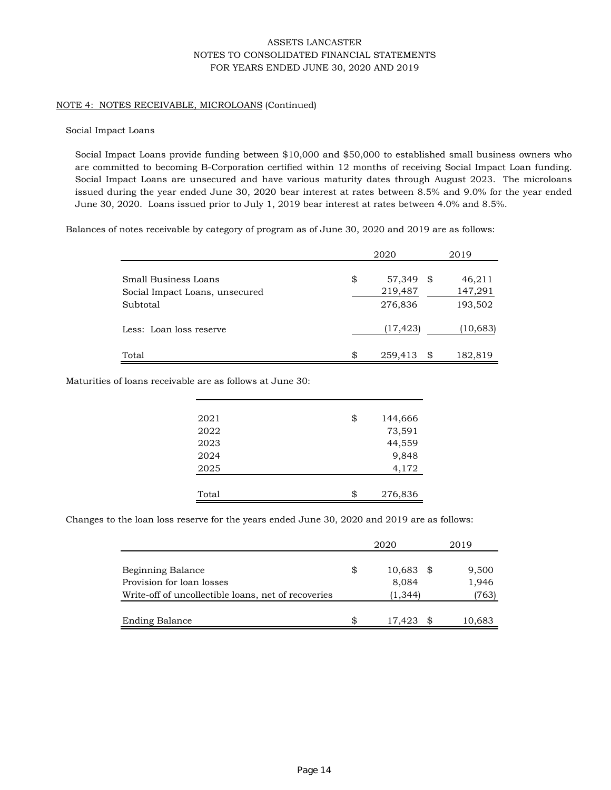## NOTE 4: NOTES RECEIVABLE, MICROLOANS (Continued)

## Social Impact Loans

Social Impact Loans provide funding between \$10,000 and \$50,000 to established small business owners who are committed to becoming B-Corporation certified within 12 months of receiving Social Impact Loan funding. Social Impact Loans are unsecured and have various maturity dates through August 2023. The microloans issued during the year ended June 30, 2020 bear interest at rates between 8.5% and 9.0% for the year ended June 30, 2020. Loans issued prior to July 1, 2019 bear interest at rates between 4.0% and 8.5%.

Balances of notes receivable by category of program as of June 30, 2020 and 2019 are as follows:

|                                                                    | 2020 |                              |    | 2019                         |  |  |
|--------------------------------------------------------------------|------|------------------------------|----|------------------------------|--|--|
| Small Business Loans<br>Social Impact Loans, unsecured<br>Subtotal | \$   | 57,349<br>219,487<br>276,836 | \$ | 46,211<br>147,291<br>193,502 |  |  |
| Less: Loan loss reserve                                            |      | (17, 423)                    |    | (10, 683)                    |  |  |
| Total                                                              | \$   | 259,413                      | \$ | 182,819                      |  |  |

Maturities of loans receivable are as follows at June 30:

| 2021  | \$<br>144,666 |
|-------|---------------|
| 2022  | 73,591        |
| 2023  | 44,559        |
| 2024  | 9,848         |
| 2025  | 4,172         |
|       |               |
| Total | \$<br>276,836 |

Changes to the loan loss reserve for the years ended June 30, 2020 and 2019 are as follows:

|                                                     | 2020                  | 2019           |  |  |
|-----------------------------------------------------|-----------------------|----------------|--|--|
| Beginning Balance<br>Provision for loan losses      | \$<br>10,683<br>8,084 | 9,500<br>1,946 |  |  |
| Write-off of uncollectible loans, net of recoveries | (1, 344)              | (763)          |  |  |
| Ending Balance                                      | \$<br>17,423          | 10,683         |  |  |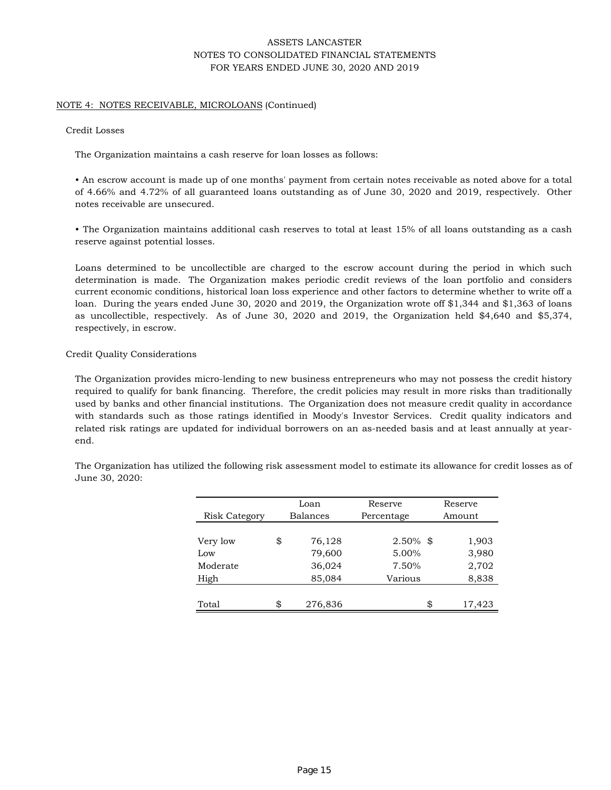## NOTE 4: NOTES RECEIVABLE, MICROLOANS (Continued)

## Credit Losses

The Organization maintains a cash reserve for loan losses as follows:

• An escrow account is made up of one months' payment from certain notes receivable as noted above for a total of 4.66% and 4.72% of all guaranteed loans outstanding as of June 30, 2020 and 2019, respectively. Other notes receivable are unsecured.

• The Organization maintains additional cash reserves to total at least 15% of all loans outstanding as a cash reserve against potential losses.

Loans determined to be uncollectible are charged to the escrow account during the period in which such determination is made. The Organization makes periodic credit reviews of the loan portfolio and considers current economic conditions, historical loan loss experience and other factors to determine whether to write off a loan. During the years ended June 30, 2020 and 2019, the Organization wrote off \$1,344 and \$1,363 of loans as uncollectible, respectively. As of June 30, 2020 and 2019, the Organization held \$4,640 and \$5,374, respectively, in escrow.

## Credit Quality Considerations

The Organization provides micro-lending to new business entrepreneurs who may not possess the credit history required to qualify for bank financing. Therefore, the credit policies may result in more risks than traditionally used by banks and other financial institutions. The Organization does not measure credit quality in accordance with standards such as those ratings identified in Moody's Investor Services. Credit quality indicators and related risk ratings are updated for individual borrowers on an as-needed basis and at least annually at yearend.

The Organization has utilized the following risk assessment model to estimate its allowance for credit losses as of June 30, 2020:

|               | Loan |          | Reserve     | Reserve |        |  |
|---------------|------|----------|-------------|---------|--------|--|
| Risk Category |      | Balances | Percentage  |         | Amount |  |
|               |      |          |             |         |        |  |
| Very low      | \$   | 76,128   | $2.50\%$ \$ |         | 1,903  |  |
| Low           |      | 79,600   | 5.00%       |         | 3,980  |  |
| Moderate      |      | 36,024   | 7.50%       |         | 2,702  |  |
| High          |      | 85,084   | Various     |         | 8,838  |  |
|               |      |          |             |         |        |  |
| Total         | \$   | 276,836  |             | \$      | 17,423 |  |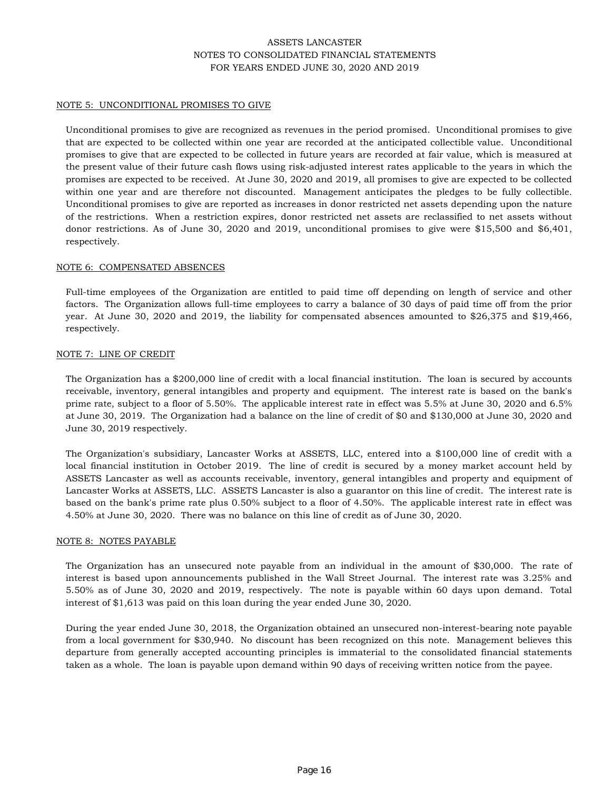## NOTE 5: UNCONDITIONAL PROMISES TO GIVE

Unconditional promises to give are recognized as revenues in the period promised. Unconditional promises to give that are expected to be collected within one year are recorded at the anticipated collectible value. Unconditional promises to give that are expected to be collected in future years are recorded at fair value, which is measured at the present value of their future cash flows using risk-adjusted interest rates applicable to the years in which the promises are expected to be received. At June 30, 2020 and 2019, all promises to give are expected to be collected within one year and are therefore not discounted. Management anticipates the pledges to be fully collectible. Unconditional promises to give are reported as increases in donor restricted net assets depending upon the nature of the restrictions. When a restriction expires, donor restricted net assets are reclassified to net assets without donor restrictions. As of June 30, 2020 and 2019, unconditional promises to give were \$15,500 and \$6,401, respectively.

## NOTE 6: COMPENSATED ABSENCES

Full-time employees of the Organization are entitled to paid time off depending on length of service and other factors. The Organization allows full-time employees to carry a balance of 30 days of paid time off from the prior year. At June 30, 2020 and 2019, the liability for compensated absences amounted to \$26,375 and \$19,466, respectively.

## NOTE 7: LINE OF CREDIT

The Organization has a \$200,000 line of credit with a local financial institution. The loan is secured by accounts receivable, inventory, general intangibles and property and equipment. The interest rate is based on the bank's prime rate, subject to a floor of 5.50%. The applicable interest rate in effect was 5.5% at June 30, 2020 and 6.5% at June 30, 2019. The Organization had a balance on the line of credit of \$0 and \$130,000 at June 30, 2020 and June 30, 2019 respectively.

The Organization's subsidiary, Lancaster Works at ASSETS, LLC, entered into a \$100,000 line of credit with a local financial institution in October 2019. The line of credit is secured by a money market account held by ASSETS Lancaster as well as accounts receivable, inventory, general intangibles and property and equipment of Lancaster Works at ASSETS, LLC. ASSETS Lancaster is also a guarantor on this line of credit. The interest rate is based on the bank's prime rate plus 0.50% subject to a floor of 4.50%. The applicable interest rate in effect was 4.50% at June 30, 2020. There was no balance on this line of credit as of June 30, 2020.

## NOTE 8: NOTES PAYABLE

The Organization has an unsecured note payable from an individual in the amount of \$30,000. The rate of interest is based upon announcements published in the Wall Street Journal. The interest rate was 3.25% and 5.50% as of June 30, 2020 and 2019, respectively. The note is payable within 60 days upon demand. Total interest of \$1,613 was paid on this loan during the year ended June 30, 2020.

During the year ended June 30, 2018, the Organization obtained an unsecured non-interest-bearing note payable from a local government for \$30,940. No discount has been recognized on this note. Management believes this departure from generally accepted accounting principles is immaterial to the consolidated financial statements taken as a whole. The loan is payable upon demand within 90 days of receiving written notice from the payee.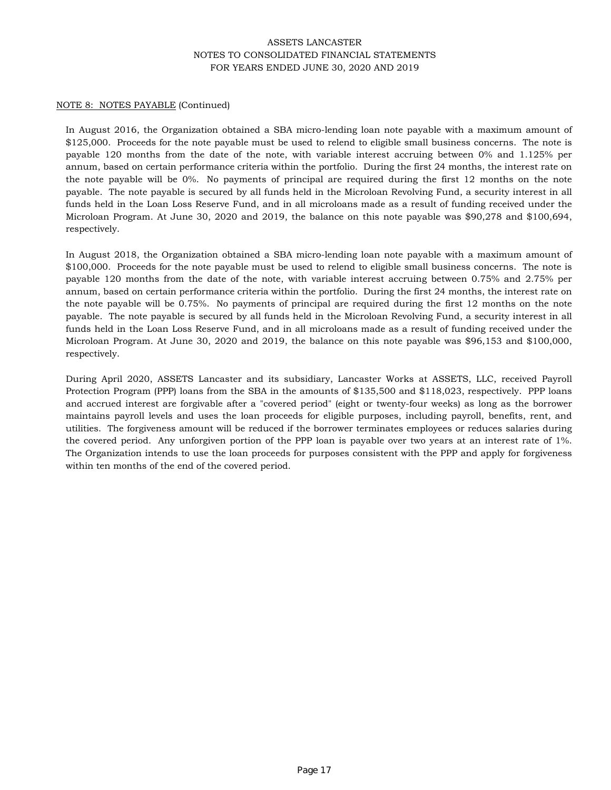### NOTE 8: NOTES PAYABLE (Continued)

In August 2016, the Organization obtained a SBA micro-lending loan note payable with a maximum amount of \$125,000. Proceeds for the note payable must be used to relend to eligible small business concerns. The note is payable 120 months from the date of the note, with variable interest accruing between 0% and 1.125% per annum, based on certain performance criteria within the portfolio. During the first 24 months, the interest rate on the note payable will be 0%. No payments of principal are required during the first 12 months on the note payable. The note payable is secured by all funds held in the Microloan Revolving Fund, a security interest in all funds held in the Loan Loss Reserve Fund, and in all microloans made as a result of funding received under the Microloan Program. At June 30, 2020 and 2019, the balance on this note payable was \$90,278 and \$100,694, respectively.

In August 2018, the Organization obtained a SBA micro-lending loan note payable with a maximum amount of \$100,000. Proceeds for the note payable must be used to relend to eligible small business concerns. The note is payable 120 months from the date of the note, with variable interest accruing between 0.75% and 2.75% per annum, based on certain performance criteria within the portfolio. During the first 24 months, the interest rate on the note payable will be 0.75%. No payments of principal are required during the first 12 months on the note payable. The note payable is secured by all funds held in the Microloan Revolving Fund, a security interest in all funds held in the Loan Loss Reserve Fund, and in all microloans made as a result of funding received under the Microloan Program. At June 30, 2020 and 2019, the balance on this note payable was \$96,153 and \$100,000, respectively.

During April 2020, ASSETS Lancaster and its subsidiary, Lancaster Works at ASSETS, LLC, received Payroll Protection Program (PPP) loans from the SBA in the amounts of \$135,500 and \$118,023, respectively. PPP loans and accrued interest are forgivable after a "covered period" (eight or twenty-four weeks) as long as the borrower maintains payroll levels and uses the loan proceeds for eligible purposes, including payroll, benefits, rent, and utilities. The forgiveness amount will be reduced if the borrower terminates employees or reduces salaries during the covered period. Any unforgiven portion of the PPP loan is payable over two years at an interest rate of 1%. The Organization intends to use the loan proceeds for purposes consistent with the PPP and apply for forgiveness within ten months of the end of the covered period.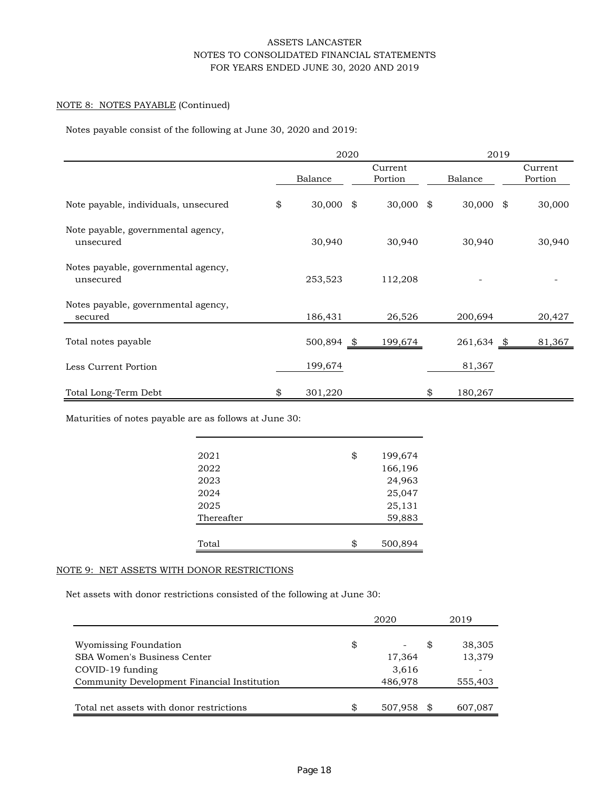## NOTE 8: NOTES PAYABLE (Continued)

Notes payable consist of the following at June 30, 2020 and 2019:

|                                                  | 2020              |  | 2019               |    |             |  |                    |
|--------------------------------------------------|-------------------|--|--------------------|----|-------------|--|--------------------|
|                                                  | Balance           |  | Current<br>Portion |    | Balance     |  | Current<br>Portion |
| Note payable, individuals, unsecured             | \$<br>$30,000$ \$ |  | 30,000             | \$ | $30,000$ \$ |  | 30,000             |
| Note payable, governmental agency,<br>unsecured  | 30,940            |  | 30,940             |    | 30,940      |  | 30,940             |
| Notes payable, governmental agency,<br>unsecured | 253,523           |  | 112,208            |    |             |  |                    |
| Notes payable, governmental agency,<br>secured   | 186,431           |  | 26,526             |    | 200,694     |  | 20,427             |
| Total notes payable                              | 500,894 \$        |  | 199,674            |    | 261,634 \$  |  | 81,367             |
| Less Current Portion                             | 199,674           |  |                    |    | 81,367      |  |                    |
| Total Long-Term Debt                             | \$<br>301,220     |  |                    | \$ | 180,267     |  |                    |

Maturities of notes payable are as follows at June 30:

| 2021       | \$<br>199,674 |
|------------|---------------|
| 2022       | 166,196       |
| 2023       | 24,963        |
| 2024       | 25,047        |
| 2025       | 25,131        |
| Thereafter | 59,883        |
|            |               |
| Total      | \$<br>500,894 |

## NOTE 9: NET ASSETS WITH DONOR RESTRICTIONS

Net assets with donor restrictions consisted of the following at June 30:

|                                             | 2020                           | 2019 |         |
|---------------------------------------------|--------------------------------|------|---------|
|                                             |                                |      |         |
| Wyomissing Foundation                       | \$<br>$\overline{\phantom{a}}$ | S    | 38,305  |
| SBA Women's Business Center                 | 17,364                         |      | 13,379  |
| COVID-19 funding                            | 3,616                          |      |         |
| Community Development Financial Institution | 486,978                        |      | 555,403 |
|                                             |                                |      |         |
| Total net assets with donor restrictions    | \$<br>507,958                  |      | 607,087 |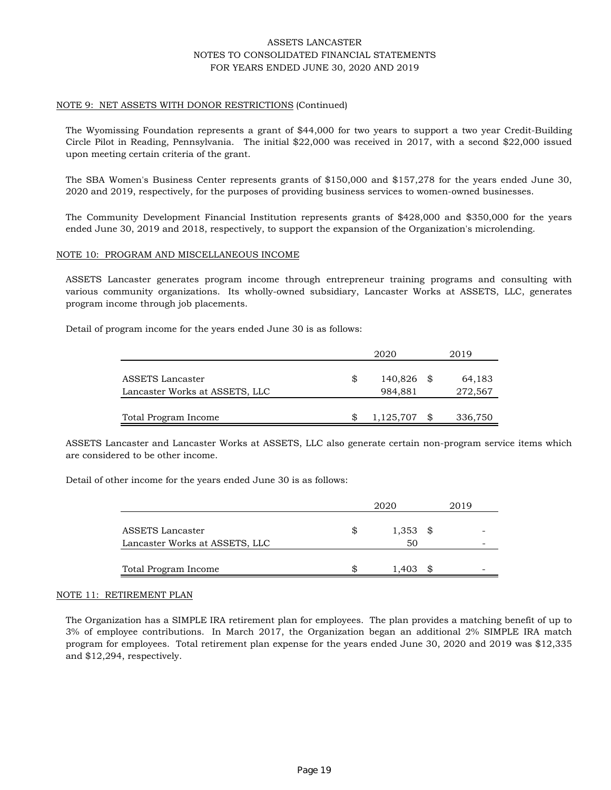### NOTE 9: NET ASSETS WITH DONOR RESTRICTIONS (Continued)

The Wyomissing Foundation represents a grant of \$44,000 for two years to support a two year Credit-Building Circle Pilot in Reading, Pennsylvania. The initial \$22,000 was received in 2017, with a second \$22,000 issued upon meeting certain criteria of the grant.

The SBA Women's Business Center represents grants of \$150,000 and \$157,278 for the years ended June 30, 2020 and 2019, respectively, for the purposes of providing business services to women-owned businesses.

The Community Development Financial Institution represents grants of \$428,000 and \$350,000 for the years ended June 30, 2019 and 2018, respectively, to support the expansion of the Organization's microlending.

### NOTE 10: PROGRAM AND MISCELLANEOUS INCOME

ASSETS Lancaster generates program income through entrepreneur training programs and consulting with various community organizations. Its wholly-owned subsidiary, Lancaster Works at ASSETS, LLC, generates program income through job placements.

Detail of program income for the years ended June 30 is as follows:

|                                                    | 2020 |                    |  | 2019              |  |  |
|----------------------------------------------------|------|--------------------|--|-------------------|--|--|
| ASSETS Lancaster<br>Lancaster Works at ASSETS, LLC | \$   | 140,826<br>984,881 |  | 64,183<br>272,567 |  |  |
| Total Program Income                               |      | 1,125,707          |  | 336,750           |  |  |

ASSETS Lancaster and Lancaster Works at ASSETS, LLC also generate certain non-program service items which are considered to be other income.

Detail of other income for the years ended June 30 is as follows:

|                                                           | 2020 |                  |    | 2019 |
|-----------------------------------------------------------|------|------------------|----|------|
| <b>ASSETS</b> Lancaster<br>Lancaster Works at ASSETS, LLC | \$.  | $1,353$ \$<br>50 |    |      |
| Total Program Income                                      |      | 1.403            | £. |      |

#### NOTE 11: RETIREMENT PLAN

The Organization has a SIMPLE IRA retirement plan for employees. The plan provides a matching benefit of up to 3% of employee contributions. In March 2017, the Organization began an additional 2% SIMPLE IRA match program for employees. Total retirement plan expense for the years ended June 30, 2020 and 2019 was \$12,335 and \$12,294, respectively.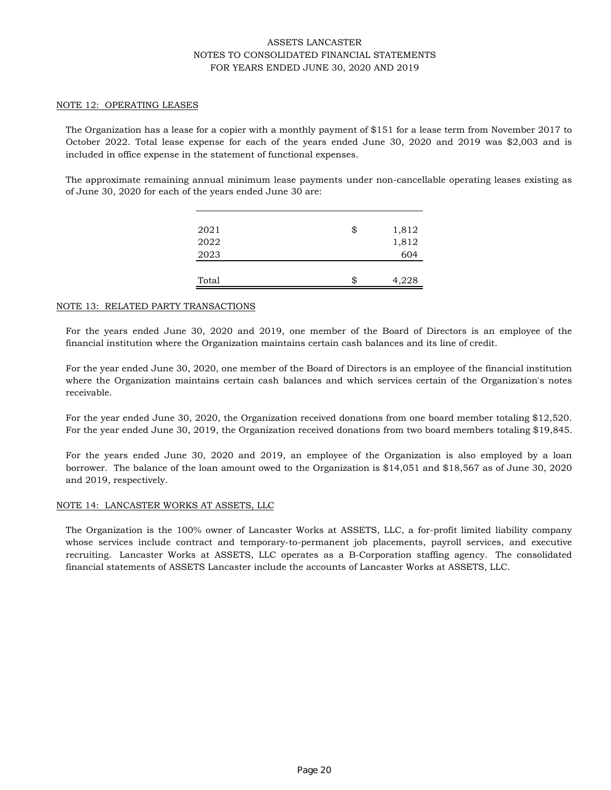### NOTE 12: OPERATING LEASES

The Organization has a lease for a copier with a monthly payment of \$151 for a lease term from November 2017 to October 2022. Total lease expense for each of the years ended June 30, 2020 and 2019 was \$2,003 and is included in office expense in the statement of functional expenses.

The approximate remaining annual minimum lease payments under non-cancellable operating leases existing as of June 30, 2020 for each of the years ended June 30 are:

| 2021<br>2022<br>2023 | \$<br>1,812<br>1,812<br>604 |
|----------------------|-----------------------------|
| Total                | \$<br>4,228                 |

## NOTE 13: RELATED PARTY TRANSACTIONS

For the years ended June 30, 2020 and 2019, one member of the Board of Directors is an employee of the financial institution where the Organization maintains certain cash balances and its line of credit.

For the year ended June 30, 2020, one member of the Board of Directors is an employee of the financial institution where the Organization maintains certain cash balances and which services certain of the Organization's notes receivable.

For the year ended June 30, 2020, the Organization received donations from one board member totaling \$12,520. For the year ended June 30, 2019, the Organization received donations from two board members totaling \$19,845.

For the years ended June 30, 2020 and 2019, an employee of the Organization is also employed by a loan borrower. The balance of the loan amount owed to the Organization is \$14,051 and \$18,567 as of June 30, 2020 and 2019, respectively.

#### NOTE 14: LANCASTER WORKS AT ASSETS, LLC

The Organization is the 100% owner of Lancaster Works at ASSETS, LLC, a for-profit limited liability company whose services include contract and temporary-to-permanent job placements, payroll services, and executive recruiting. Lancaster Works at ASSETS, LLC operates as a B-Corporation staffing agency. The consolidated financial statements of ASSETS Lancaster include the accounts of Lancaster Works at ASSETS, LLC.